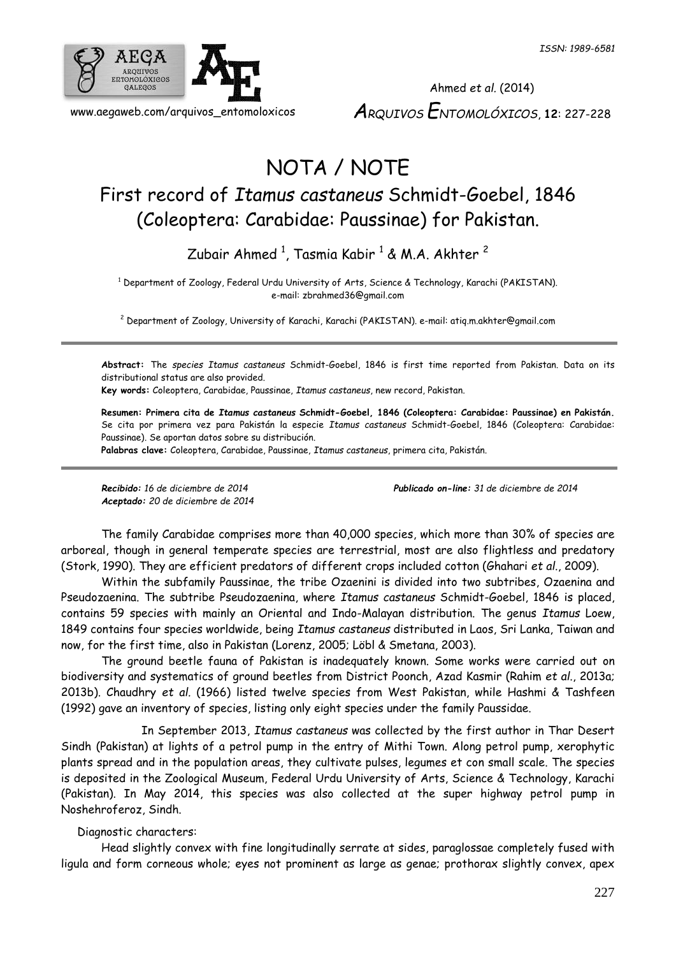

Ahmed *et al.* (2014) *ARQUIVOS ENTOMOLÓXICOS*, **12**: 227-228

# NOTA / NOTE

## First record of *Itamus castaneus* Schmidt-Goebel, 1846 (Coleoptera: Carabidae: Paussinae) for Pakistan.

Zubair Ahmed  $^1$ , Tasmia Kabir  $^1$  & M.A. Akhter  $^2$ 

<sup>1</sup> Department of Zoology, Federal Urdu University of Arts, Science & Technology, Karachi (PAKISTAN). e-mail: zbrahmed36@gmail.com

<sup>2</sup> Department of Zoology, University of Karachi, Karachi (PAKISTAN). e-mail: atiq.m.akhter@gmail.com

**Abstract:** The *species Itamus castaneus* Schmidt-Goebel, 1846 is first time reported from Pakistan. Data on its distributional status are also provided.

**Key words:** Coleoptera, Carabidae, Paussinae, *Itamus castaneus*, new record, Pakistan.

**Resumen: Primera cita de** *Itamus castaneus* **Schmidt-Goebel, 1846 (Coleoptera: Carabidae: Paussinae) en Pakistán.**  Se cita por primera vez para Pakistán la especie *Itamus castaneus* Schmidt-Goebel, 1846 (Coleoptera: Carabidae: Paussinae). Se aportan datos sobre su distribución.

**Palabras clave:** Coleoptera, Carabidae, Paussinae, *Itamus castaneus*, primera cita, Pakistán.

*Aceptado: 20 de diciembre de 2014*

*Recibido: 16 de diciembre de 2014 Publicado on-line: 31 de diciembre de 2014*

The family Carabidae comprises more than 40,000 species, which more than 30% of species are arboreal, though in general temperate species are terrestrial, most are also flightless and predatory (Stork, 1990). They are efficient predators of different crops included cotton (Ghahari *et al*., 2009).

Within the subfamily Paussinae, the tribe Ozaenini is divided into two subtribes, Ozaenina and Pseudozaenina. The subtribe Pseudozaenina, where *Itamus castaneus* Schmidt-Goebel, 1846 is placed, contains 59 species with mainly an Oriental and Indo-Malayan distribution. The genus *Itamus* Loew, 1849 contains four species worldwide, being *Itamus castaneus* distributed in Laos, Sri Lanka, Taiwan and now, for the first time, also in Pakistan (Lorenz, 2005; Löbl & Smetana, 2003).

The ground beetle fauna of Pakistan is inadequately known. Some works were carried out on biodiversity and systematics of ground beetles from District Poonch, Azad Kasmir (Rahim *et al*., 2013a; 2013b). Chaudhry *et al.* (1966) listed twelve species from West Pakistan, while Hashmi & Tashfeen (1992) gave an inventory of species, listing only eight species under the family Paussidae.

In September 2013, *Itamus castaneus* was collected by the first author in Thar Desert Sindh (Pakistan) at lights of a petrol pump in the entry of Mithi Town. Along petrol pump, xerophytic plants spread and in the population areas, they cultivate pulses, legumes et con small scale. The species is deposited in the Zoological Museum, Federal Urdu University of Arts, Science & Technology, Karachi (Pakistan). In May 2014, this species was also collected at the super highway petrol pump in Noshehroferoz, Sindh.

Diagnostic characters:

Head slightly convex with fine longitudinally serrate at sides, paraglossae completely fused with ligula and form corneous whole; eyes not prominent as large as genae; prothorax slightly convex, apex